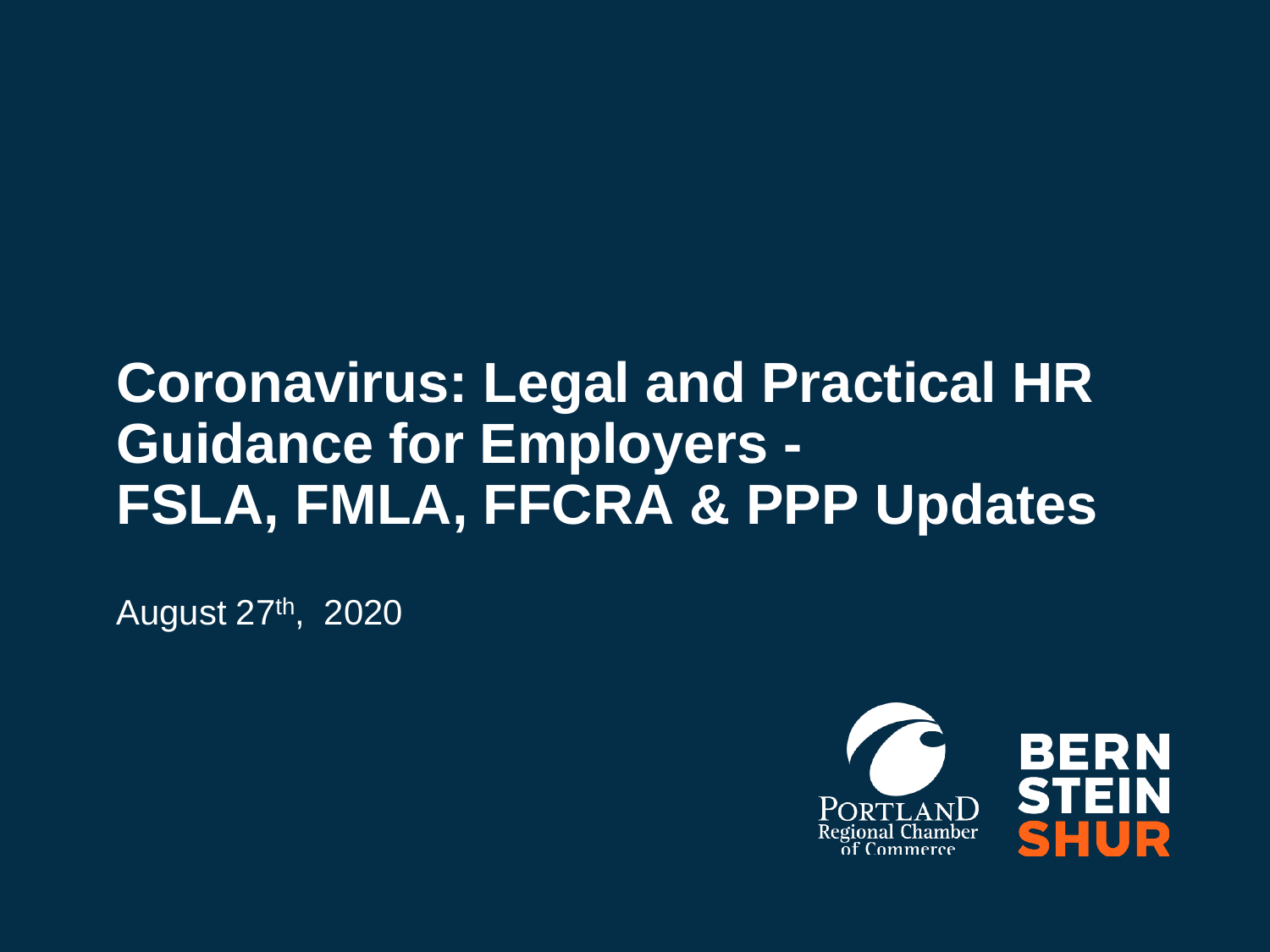# **Coronavirus: Legal and Practical HR Guidance for Employers - FSLA, FMLA, FFCRA & PPP Updates**

August 27th, 2020

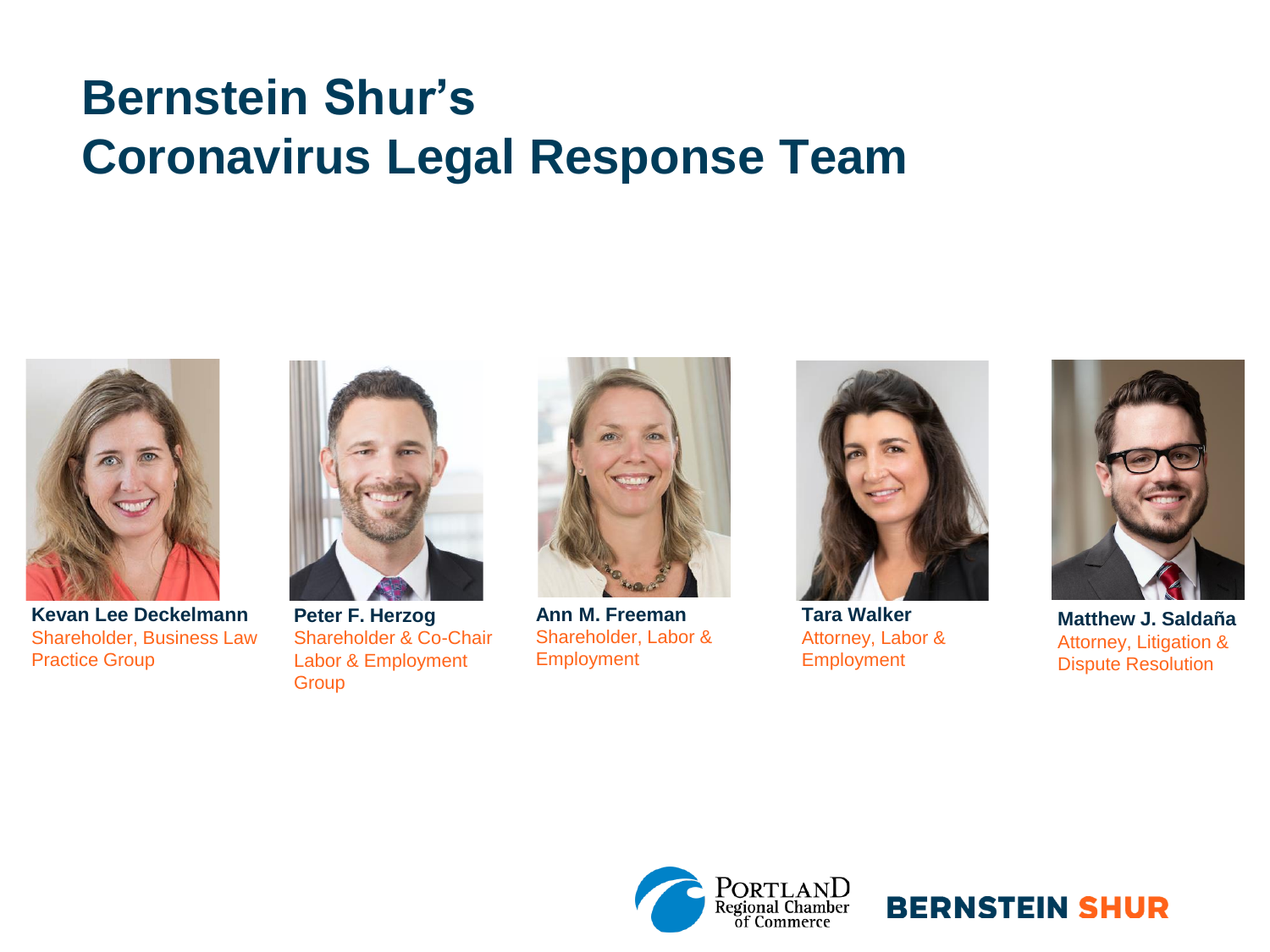# **Bernstein Shur's Coronavirus Legal Response Team**



**Kevan Lee Deckelmann** Shareholder, Business Law Practice Group



**Peter F. Herzog** Shareholder & Co-Chair Labor & Employment **Group** 



**Ann M. Freeman** Shareholder, Labor & **Employment** 



**Tara Walker** Attorney, Labor & Employment



**Matthew J. Saldaña** Attorney, Litigation & Dispute Resolution



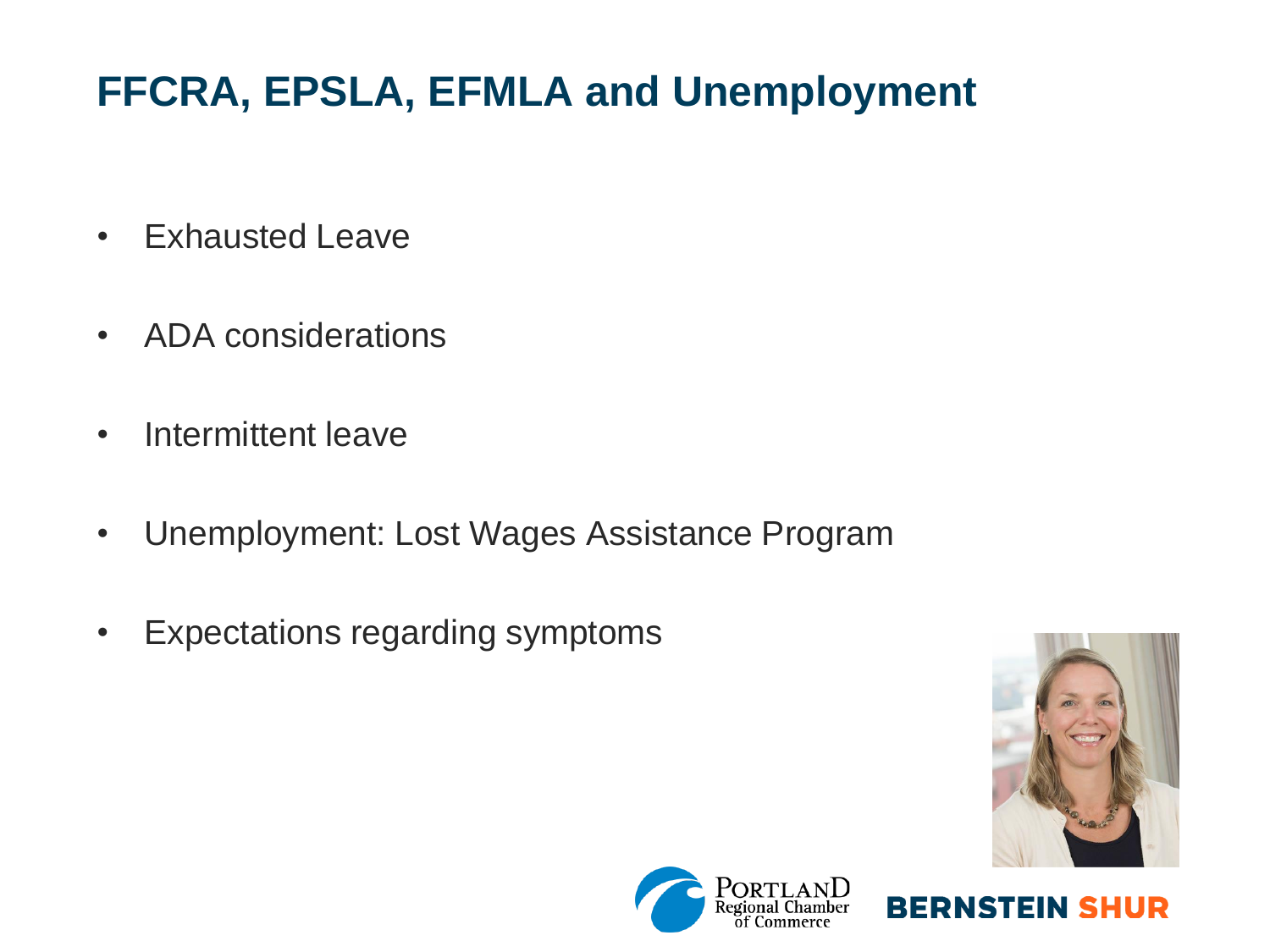# **FFCRA, EPSLA, EFMLA and Unemployment**

- Exhausted Leave
- ADA considerations
- Intermittent leave
- Unemployment: Lost Wages Assistance Program
- Expectations regarding symptoms



**BERNSTEIN SHUR** 

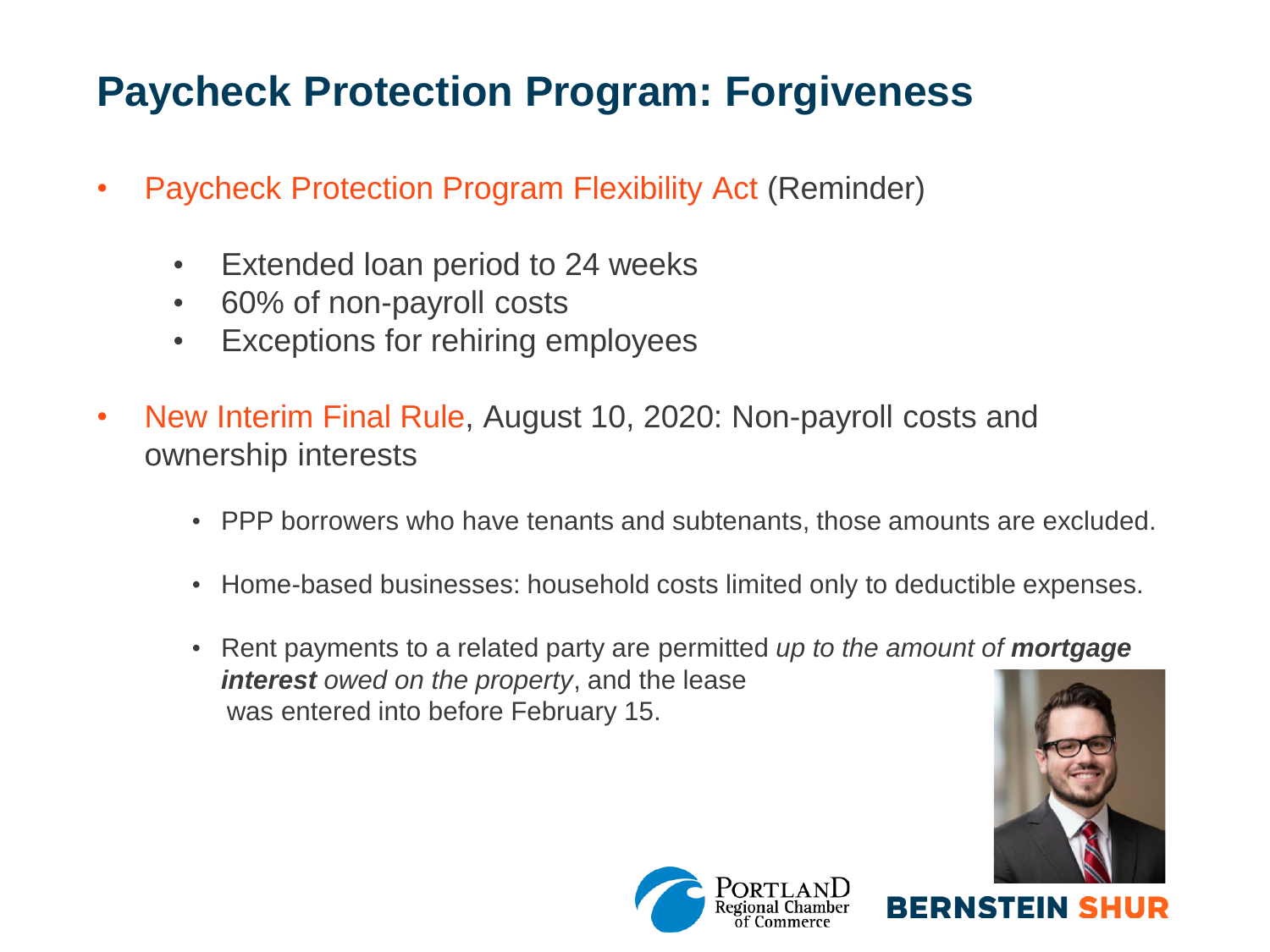### **Paycheck Protection Program: Forgiveness**

- Paycheck Protection Program Flexibility Act (Reminder)
	- Extended loan period to 24 weeks
	- 60% of non-payroll costs
	- Exceptions for rehiring employees
- New Interim Final Rule, August 10, 2020: Non-payroll costs and ownership interests
	- PPP borrowers who have tenants and subtenants, those amounts are excluded.
	- Home-based businesses: household costs limited only to deductible expenses.
	- Rent payments to a related party are permitted *up to the amount of mortgage interest owed on the property*, and the lease was entered into before February 15.



**BERNSTEIN** 

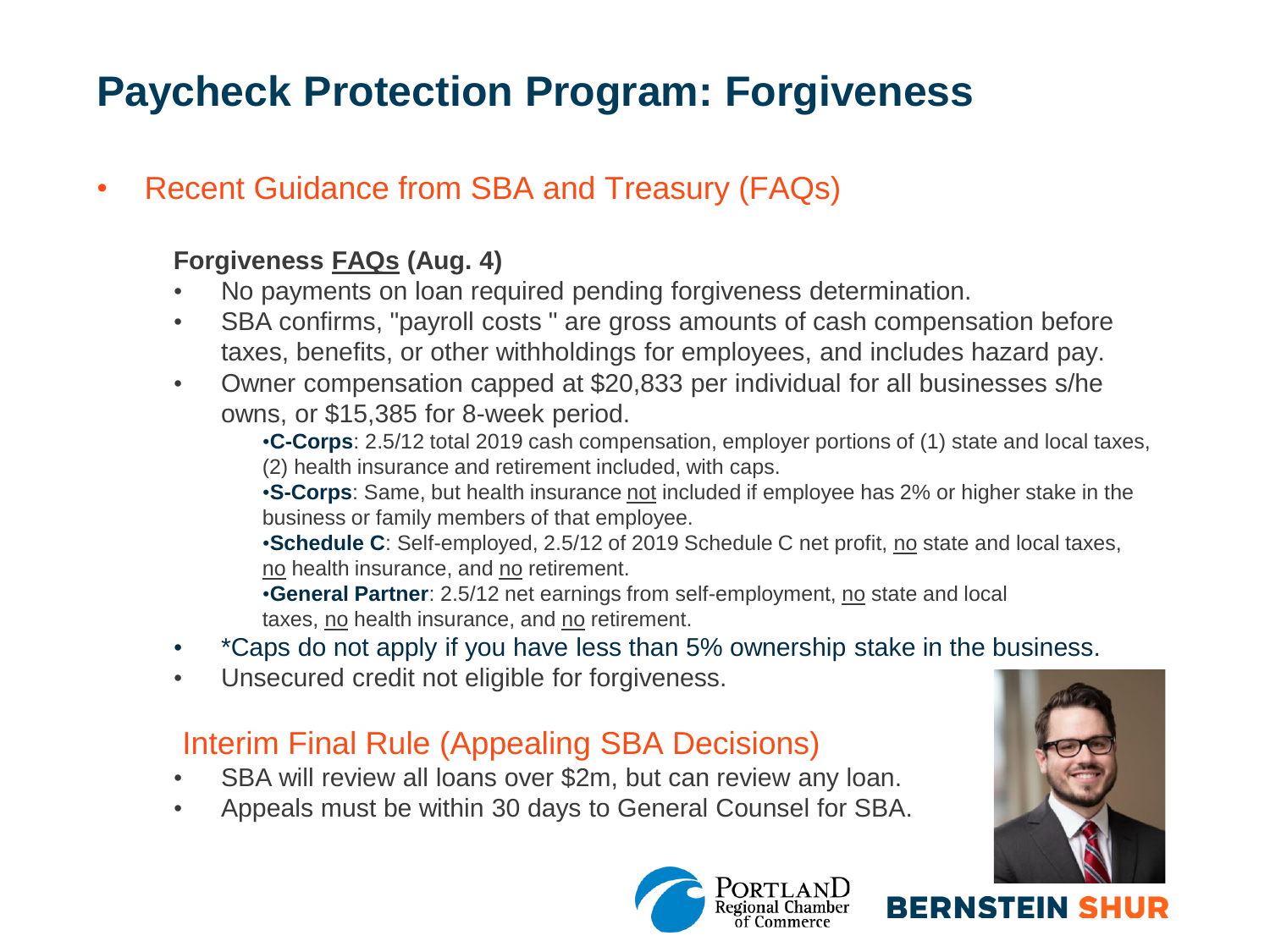### **Paycheck Protection Program: Forgiveness**

• Recent Guidance from SBA and Treasury (FAQs)

#### **Forgiveness [FAQs](https://www.sba.gov/sites/default/files/2020-08/PPP%20--%20Loan%20Forgiveness%20FAQs%20%28August%2011%2C%202020%29-508.pdf) (Aug. 4)**

- No payments on loan required pending forgiveness determination.
- SBA confirms, "payroll costs " are gross amounts of cash compensation before taxes, benefits, or other withholdings for employees, and includes hazard pay.
- Owner compensation capped at \$20,833 per individual for all businesses s/he owns, or \$15,385 for 8-week period.

•**C-Corps**: 2.5/12 total 2019 cash compensation, employer portions of (1) state and local taxes, (2) health insurance and retirement included, with caps.

•**S-Corps**: Same, but health insurance not included if employee has 2% or higher stake in the business or family members of that employee.

•**Schedule C**: Self-employed, 2.5/12 of 2019 Schedule C net profit, no state and local taxes, no health insurance, and no retirement.

•**General Partner**: 2.5/12 net earnings from self-employment, no state and local taxes, no health insurance, and no retirement.

- \*Caps do not apply if you have less than 5% ownership stake in the business.
- Unsecured credit not eligible for forgiveness.

#### Interim Final Rule (Appealing SBA Decisions)

- SBA will review all loans over \$2m, but can review any loan.
- Appeals must be within 30 days to General Counsel for SBA.



**BERNSTEIN SH** 

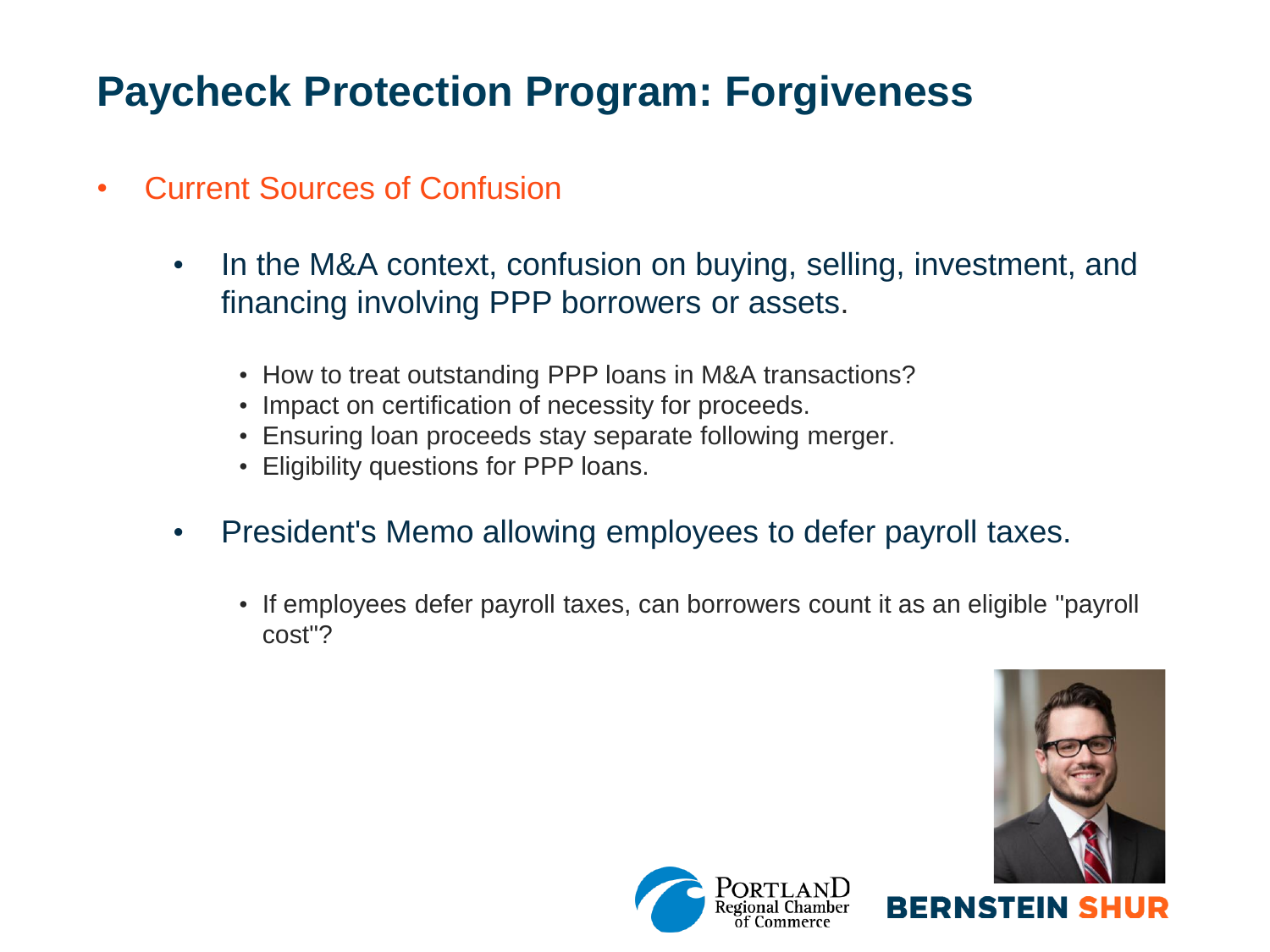### **Paycheck Protection Program: Forgiveness**

- Current Sources of Confusion
	- In the M&A context, confusion on buying, selling, investment, and financing involving PPP borrowers or assets.
		- How to treat outstanding PPP loans in M&A transactions?
		- Impact on certification of necessity for proceeds.
		- Ensuring loan proceeds stay separate following merger.
		- Eligibility questions for PPP loans.
	- President's Memo allowing employees to defer payroll taxes.
		- If employees defer payroll taxes, can borrowers count it as an eligible "payroll cost"?



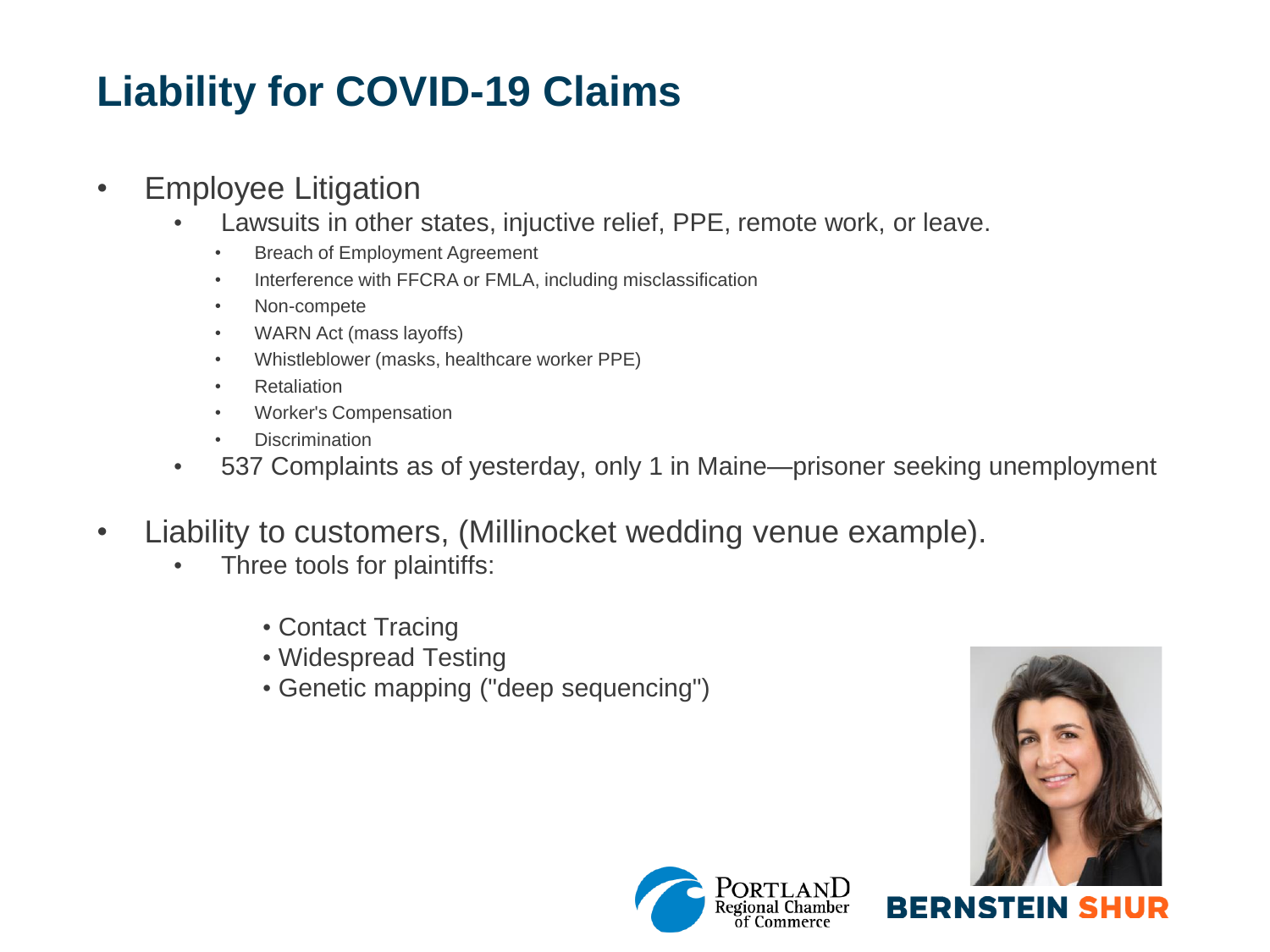## **Liability for COVID-19 Claims**

#### • Employee Litigation

- Lawsuits in other states, injuctive relief, PPE, remote work, or leave.
	- Breach of Employment Agreement
	- Interference with FFCRA or FMLA, including misclassification
	- Non-compete
	- WARN Act (mass layoffs)
	- Whistleblower (masks, healthcare worker PPE)
	- Retaliation
	- Worker's Compensation
	- Discrimination
- 537 Complaints as of yesterday, only 1 in Maine—prisoner seeking unemployment
- Liability to customers, (Millinocket wedding venue example).
	- Three tools for plaintiffs:
		- Contact Tracing
		- Widespread Testing
		- Genetic mapping ("deep sequencing")



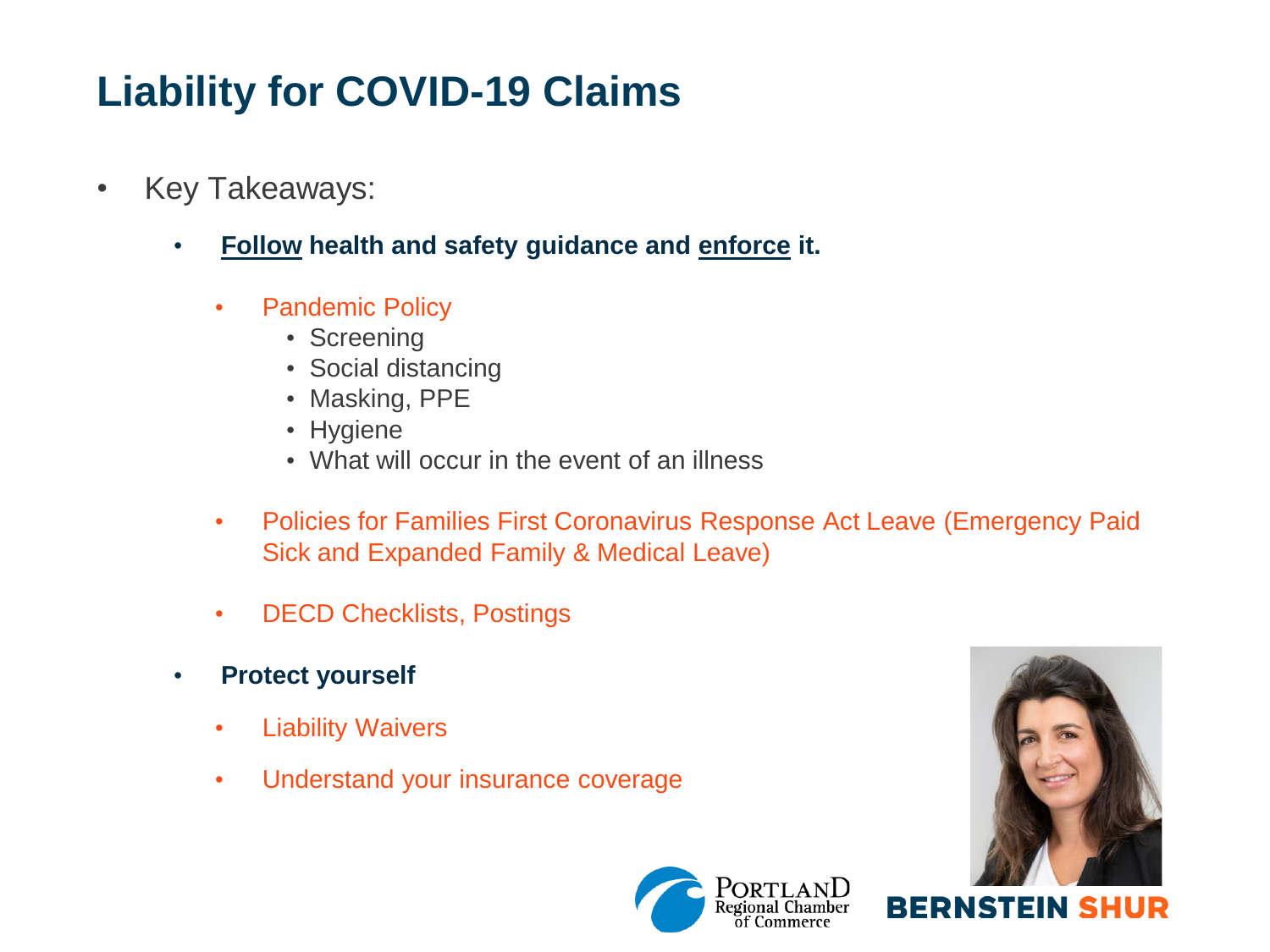# **Liability for COVID-19 Claims**

- Key Takeaways:
	- **Follow health and safety guidance and enforce it.**
		- Pandemic Policy
			- Screening
			- Social distancing
			- Masking, PPE
			- Hygiene
			- What will occur in the event of an illness
		- Policies for Families First Coronavirus Response Act Leave (Emergency Paid Sick and Expanded Family & Medical Leave)
		- DECD Checklists, Postings
	- **Protect yourself**
		- Liability Waivers
		- Understand your insurance coverage





**BERNSTEIN SHU**